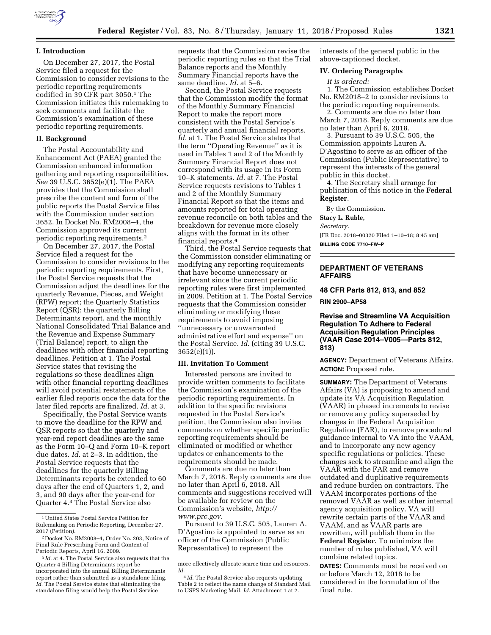

## **I. Introduction**

On December 27, 2017, the Postal Service filed a request for the Commission to consider revisions to the periodic reporting requirements codified in 39 CFR part 3050.1 The Commission initiates this rulemaking to seek comments and facilitate the Commission's examination of these periodic reporting requirements.

#### **II. Background**

The Postal Accountability and Enhancement Act (PAEA) granted the Commission enhanced information gathering and reporting responsibilities. *See* 39 U.S.C. 3652(e)(1). The PAEA provides that the Commission shall prescribe the content and form of the public reports the Postal Service files with the Commission under section 3652. In Docket No. RM2008–4, the Commission approved its current periodic reporting requirements.2

On December 27, 2017, the Postal Service filed a request for the Commission to consider revisions to the periodic reporting requirements. First, the Postal Service requests that the Commission adjust the deadlines for the quarterly Revenue, Pieces, and Weight (RPW) report; the Quarterly Statistics Report (QSR); the quarterly Billing Determinants report, and the monthly National Consolidated Trial Balance and the Revenue and Expense Summary (Trial Balance) report, to align the deadlines with other financial reporting deadlines. Petition at 1. The Postal Service states that revising the regulations so these deadlines align with other financial reporting deadlines will avoid potential restatements of the earlier filed reports once the data for the later filed reports are finalized. *Id.* at 3.

Specifically, the Postal Service wants to move the deadline for the RPW and QSR reports so that the quarterly and year-end report deadlines are the same as the Form 10–Q and Form 10–K report due dates. *Id.* at 2–3. In addition, the Postal Service requests that the deadlines for the quarterly Billing Determinants reports be extended to 60 days after the end of Quarters 1, 2, and 3, and 90 days after the year-end for Quarter 4.3 The Postal Service also

requests that the Commission revise the periodic reporting rules so that the Trial Balance reports and the Monthly Summary Financial reports have the same deadline. *Id.* at 5–6.

Second, the Postal Service requests that the Commission modify the format of the Monthly Summary Financial Report to make the report more consistent with the Postal Service's quarterly and annual financial reports. *Id.* at 1. The Postal Service states that the term ''Operating Revenue'' as it is used in Tables 1 and 2 of the Monthly Summary Financial Report does not correspond with its usage in its Form 10–K statements. *Id.* at 7. The Postal Service requests revisions to Tables 1 and 2 of the Monthly Summary Financial Report so that the items and amounts reported for total operating revenue reconcile on both tables and the breakdown for revenue more closely aligns with the format in its other financial reports.4

Third, the Postal Service requests that the Commission consider eliminating or modifying any reporting requirements that have become unnecessary or irrelevant since the current periodic reporting rules were first implemented in 2009. Petition at 1. The Postal Service requests that the Commission consider eliminating or modifying these requirements to avoid imposing ''unnecessary or unwarranted administrative effort and expense'' on the Postal Service. *Id.* (citing 39 U.S.C. 3652(e)(1)).

## **III. Invitation To Comment**

Interested persons are invited to provide written comments to facilitate the Commission's examination of the periodic reporting requirements. In addition to the specific revisions requested in the Postal Service's petition, the Commission also invites comments on whether specific periodic reporting requirements should be eliminated or modified or whether updates or enhancements to the requirements should be made.

Comments are due no later than March 7, 2018. Reply comments are due no later than April 6, 2018. All comments and suggestions received will be available for review on the Commission's website, *[http://](http://www.prc.gov) [www.prc.gov](http://www.prc.gov)*.

Pursuant to 39 U.S.C. 505, Lauren A. D'Agostino is appointed to serve as an officer of the Commission (Public Representative) to represent the

interests of the general public in the above-captioned docket.

#### **IV. Ordering Paragraphs**

#### *It is ordered:*

1. The Commission establishes Docket No. RM2018–2 to consider revisions to the periodic reporting requirements.

2. Comments are due no later than March 7, 2018. Reply comments are due no later than April 6, 2018.

3. Pursuant to 39 U.S.C. 505, the Commission appoints Lauren A. D'Agostino to serve as an officer of the Commission (Public Representative) to represent the interests of the general public in this docket.

4. The Secretary shall arrange for publication of this notice in the **Federal Register**.

By the Commission.

**Stacy L. Ruble,** 

*Secretary.* 

[FR Doc. 2018–00320 Filed 1–10–18; 8:45 am] **BILLING CODE 7710–FW–P** 

## **DEPARTMENT OF VETERANS AFFAIRS**

**48 CFR Parts 812, 813, and 852** 

**RIN 2900–AP58** 

**Revise and Streamline VA Acquisition Regulation To Adhere to Federal Acquisition Regulation Principles (VAAR Case 2014–V005—Parts 812, 813)** 

**AGENCY:** Department of Veterans Affairs. **ACTION:** Proposed rule.

**SUMMARY:** The Department of Veterans Affairs (VA) is proposing to amend and update its VA Acquisition Regulation (VAAR) in phased increments to revise or remove any policy superseded by changes in the Federal Acquisition Regulation (FAR), to remove procedural guidance internal to VA into the VAAM, and to incorporate any new agency specific regulations or policies. These changes seek to streamline and align the VAAR with the FAR and remove outdated and duplicative requirements and reduce burden on contractors. The VAAM incorporates portions of the removed VAAR as well as other internal agency acquisition policy. VA will rewrite certain parts of the VAAR and VAAM, and as VAAR parts are rewritten, will publish them in the **Federal Register**. To minimize the number of rules published, VA will combine related topics.

**DATES:** Comments must be received on or before March 12, 2018 to be considered in the formulation of the final rule.

<sup>1</sup>United States Postal Service Petition for Rulemaking on Periodic Reporting, December 27, 2017 (Petition).

<sup>2</sup> Docket No. RM2008–4, Order No. 203, Notice of Final Rule Prescribing Form and Content of Periodic Reports, April 16, 2009.

<sup>3</sup> *Id.* at 4. The Postal Service also requests that the Quarter 4 Billing Determinants report be incorporated into the annual Billing Determinants report rather than submitted as a standalone filing. *Id.* The Postal Service states that eliminating the standalone filing would help the Postal Service

more effectively allocate scarce time and resources. *Id.* 

<sup>4</sup> *Id.* The Postal Service also requests updating Table 2 to reflect the name change of Standard Mail to USPS Marketing Mail. *Id.* Attachment 1 at 2.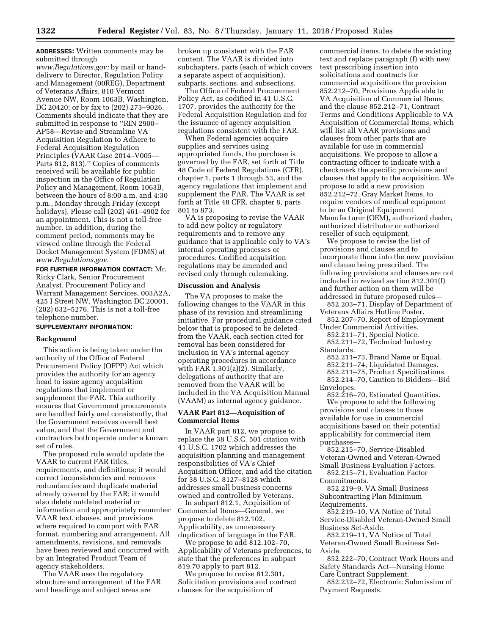**ADDRESSES:** Written comments may be submitted through

*[www.Regulations.gov;](http://www.Regulations.gov)* by mail or handdelivery to Director, Regulation Policy and Management (00REG), Department of Veterans Affairs, 810 Vermont Avenue NW, Room 1063B, Washington, DC 20420; or by fax to (202) 273–9026. Comments should indicate that they are submitted in response to ''RIN 2900– AP58—Revise and Streamline VA Acquisition Regulation to Adhere to Federal Acquisition Regulation Principles (VAAR Case 2014–V005— Parts 812, 813)." Copies of comments received will be available for public inspection in the Office of Regulation Policy and Management, Room 1063B, between the hours of 8:00 a.m. and 4:30 p.m., Monday through Friday (except holidays). Please call (202) 461–4902 for an appointment. This is not a toll-free number. In addition, during the comment period, comments may be viewed online through the Federal Docket Management System (FDMS) at *[www.Regulations.gov](http://www.Regulations.gov)*.

**FOR FURTHER INFORMATION CONTACT:** Mr. Ricky Clark, Senior Procurement Analyst, Procurement Policy and Warrant Management Services, 003A2A, 425 I Street NW, Washington DC 20001, (202) 632–5276. This is not a toll-free telephone number.

# **SUPPLEMENTARY INFORMATION:**

## **Background**

This action is being taken under the authority of the Office of Federal Procurement Policy (OFPP) Act which provides the authority for an agency head to issue agency acquisition regulations that implement or supplement the FAR. This authority ensures that Government procurements are handled fairly and consistently, that the Government receives overall best value, and that the Government and contractors both operate under a known set of rules.

The proposed rule would update the VAAR to current FAR titles, requirements, and definitions; it would correct inconsistencies and removes redundancies and duplicate material already covered by the FAR; it would also delete outdated material or information and appropriately renumber VAAR text, clauses, and provisions where required to comport with FAR format, numbering and arrangement. All amendments, revisions, and removals have been reviewed and concurred with by an Integrated Product Team of agency stakeholders.

The VAAR uses the regulatory structure and arrangement of the FAR and headings and subject areas are

broken up consistent with the FAR content. The VAAR is divided into subchapters, parts (each of which covers a separate aspect of acquisition), subparts, sections, and subsections.

The Office of Federal Procurement Policy Act, as codified in 41 U.S.C. 1707, provides the authority for the Federal Acquisition Regulation and for the issuance of agency acquisition regulations consistent with the FAR.

When Federal agencies acquire supplies and services using appropriated funds, the purchase is governed by the FAR, set forth at Title 48 Code of Federal Regulations (CFR), chapter 1, parts 1 through 53, and the agency regulations that implement and supplement the FAR. The VAAR is set forth at Title 48 CFR, chapter 8, parts 801 to 873.

VA is proposing to revise the VAAR to add new policy or regulatory requirements and to remove any guidance that is applicable only to VA's internal operating processes or procedures. Codified acquisition regulations may be amended and revised only through rulemaking.

### **Discussion and Analysis**

The VA proposes to make the following changes to the VAAR in this phase of its revision and streamlining initiative. For procedural guidance cited below that is proposed to be deleted from the VAAR, each section cited for removal has been considered for inclusion in VA's internal agency operating procedures in accordance with FAR 1.301(a)(2). Similarly, delegations of authority that are removed from the VAAR will be included in the VA Acquisition Manual (VAAM) as internal agency guidance.

### **VAAR Part 812—Acquisition of Commercial Items**

In VAAR part 812, we propose to replace the 38 U.S.C. 501 citation with 41 U.S.C. 1702 which addresses the acquisition planning and management responsibilities of VA's Chief Acquisition Officer, and add the citation for 38 U.S.C. 8127–8128 which addresses small business concerns owned and controlled by Veterans.

In subpart 812.1, Acquisition of Commercial Items—General, we propose to delete 812.102, Applicability, as unnecessary duplication of language in the FAR.

We propose to add 812.102–70, Applicability of Veterans preferences, to state that the preferences in subpart 819.70 apply to part 812.

We propose to revise 812.301, Solicitation provisions and contract clauses for the acquisition of

commercial items, to delete the existing text and replace paragraph (f) with new text prescribing insertion into solicitations and contracts for commercial acquisitions the provision 852.212–70, Provisions Applicable to VA Acquisition of Commercial Items, and the clause 852.212–71, Contract Terms and Conditions Applicable to VA Acquisition of Commercial Items, which will list all VAAR provisions and clauses from other parts that are available for use in commercial acquisitions. We propose to allow a contracting officer to indicate with a checkmark the specific provisions and clauses that apply to the acquisition. We propose to add a new provision 852.212–72, Gray Market Items, to require vendors of medical equipment to be an Original Equipment Manufacturer (OEM), authorized dealer, authorized distributor or authorized reseller of such equipment.

We propose to revise the list of provisions and clauses and to incorporate them into the new provision and clause being prescribed. The following provisions and clauses are not included in revised section 812.301(f) and further action on them will be addressed in future proposed rules—

852.203–71, Display of Department of Veterans Affairs Hotline Poster.

852.207–70, Report of Employment Under Commercial Activities.

852.211–71, Special Notice.

852.211–72, Technical Industry Standards.

- 852.211–73, Brand Name or Equal.
- 852.211–74, Liquidated Damages.
- 852.211–75, Product Specifications.
- 852.214–70, Caution to Bidders—Bid
- Envelopes.

852.216–70, Estimated Quantities. We propose to add the following provisions and clauses to those available for use in commercial acquisitions based on their potential applicability for commercial item purchases—

852.215–70, Service-Disabled Veteran-Owned and Veteran-Owned Small Business Evaluation Factors.

852.215–71, Evaluation Factor Commitments.

852.219–9, VA Small Business Subcontracting Plan Minimum Requirements.

852.219–10, VA Notice of Total Service-Disabled Veteran-Owned Small Business Set-Aside.

852.219–11, VA Notice of Total Veteran-Owned Small Business Set-Aside.

852.222–70, Contract Work Hours and Safety Standards Act—Nursing Home Care Contract Supplement.

852.232–72, Electronic Submission of Payment Requests.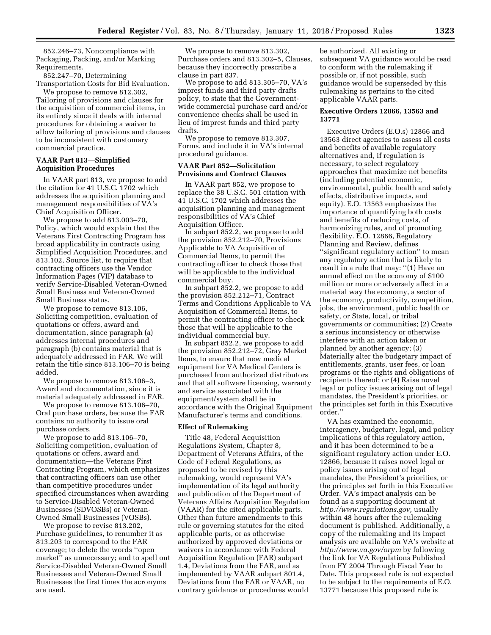852.246–73, Noncompliance with Packaging, Packing, and/or Marking Requirements.

852.247–70, Determining Transportation Costs for Bid Evaluation.

We propose to remove 812.302, Tailoring of provisions and clauses for the acquisition of commercial items, in its entirety since it deals with internal procedures for obtaining a waiver to allow tailoring of provisions and clauses to be inconsistent with customary commercial practice.

### **VAAR Part 813—Simplified Acquisition Procedures**

In VAAR part 813, we propose to add the citation for 41 U.S.C. 1702 which addresses the acquisition planning and management responsibilities of VA's Chief Acquisition Officer.

We propose to add 813.003–70, Policy, which would explain that the Veterans First Contracting Program has broad applicability in contracts using Simplified Acquisition Procedures, and 813.102, Source list, to require that contracting officers use the Vendor Information Pages (VIP) database to verify Service-Disabled Veteran-Owned Small Business and Veteran-Owned Small Business status.

We propose to remove 813.106, Soliciting competition, evaluation of quotations or offers, award and documentation, since paragraph (a) addresses internal procedures and paragraph (b) contains material that is adequately addressed in FAR. We will retain the title since 813.106–70 is being added.

We propose to remove 813.106–3, Award and documentation, since it is material adequately addressed in FAR.

We propose to remove 813.106–70, Oral purchase orders, because the FAR contains no authority to issue oral purchase orders.

We propose to add 813.106–70, Soliciting competition, evaluation of quotations or offers, award and documentation—the Veterans First Contracting Program, which emphasizes that contracting officers can use other than competitive procedures under specified circumstances when awarding to Service-Disabled Veteran-Owned Businesses (SDVOSBs) or Veteran-Owned Small Businesses (VOSBs).

We propose to revise 813.202, Purchase guidelines, to renumber it as 813.203 to correspond to the FAR coverage; to delete the words ''open market'' as unnecessary; and to spell out Service-Disabled Veteran-Owned Small Businesses and Veteran-Owned Small Businesses the first times the acronyms are used.

We propose to remove 813.302, Purchase orders and 813.302–5, Clauses, because they incorrectly prescribe a clause in part 837.

We propose to add 813.305–70, VA's imprest funds and third party drafts policy, to state that the Governmentwide commercial purchase card and/or convenience checks shall be used in lieu of imprest funds and third party drafts.

We propose to remove 813.307, Forms, and include it in VA's internal procedural guidance.

## **VAAR Part 852—Solicitation Provisions and Contract Clauses**

In VAAR part 852, we propose to replace the 38 U.S.C. 501 citation with 41 U.S.C. 1702 which addresses the acquisition planning and management responsibilities of VA's Chief Acquisition Officer.

In subpart 852.2, we propose to add the provision 852.212–70, Provisions Applicable to VA Acquisition of Commercial Items, to permit the contracting officer to check those that will be applicable to the individual commercial buy.

In subpart 852.2, we propose to add the provision 852.212–71, Contract Terms and Conditions Applicable to VA Acquisition of Commercial Items, to permit the contracting officer to check those that will be applicable to the individual commercial buy.

In subpart 852.2, we propose to add the provision 852.212–72, Gray Market Items, to ensure that new medical equipment for VA Medical Centers is purchased from authorized distributors and that all software licensing, warranty and service associated with the equipment/system shall be in accordance with the Original Equipment Manufacturer's terms and conditions.

### **Effect of Rulemaking**

Title 48, Federal Acquisition Regulations System, Chapter 8, Department of Veterans Affairs, of the Code of Federal Regulations, as proposed to be revised by this rulemaking, would represent VA's implementation of its legal authority and publication of the Department of Veterans Affairs Acquisition Regulation (VAAR) for the cited applicable parts. Other than future amendments to this rule or governing statutes for the cited applicable parts, or as otherwise authorized by approved deviations or waivers in accordance with Federal Acquisition Regulation (FAR) subpart 1.4, Deviations from the FAR, and as implemented by VAAR subpart 801.4, Deviations from the FAR or VAAR, no contrary guidance or procedures would

be authorized. All existing or subsequent VA guidance would be read to conform with the rulemaking if possible or, if not possible, such guidance would be superseded by this rulemaking as pertains to the cited applicable VAAR parts.

### **Executive Orders 12866, 13563 and 13771**

Executive Orders (E.O.s) 12866 and 13563 direct agencies to assess all costs and benefits of available regulatory alternatives and, if regulation is necessary, to select regulatory approaches that maximize net benefits (including potential economic, environmental, public health and safety effects, distributive impacts, and equity). E.O. 13563 emphasizes the importance of quantifying both costs and benefits of reducing costs, of harmonizing rules, and of promoting flexibility. E.O. 12866, Regulatory Planning and Review, defines ''significant regulatory action'' to mean any regulatory action that is likely to result in a rule that may: ''(1) Have an annual effect on the economy of \$100 million or more or adversely affect in a material way the economy, a sector of the economy, productivity, competition, jobs, the environment, public health or safety, or State, local, or tribal governments or communities; (2) Create a serious inconsistency or otherwise interfere with an action taken or planned by another agency; (3) Materially alter the budgetary impact of entitlements, grants, user fees, or loan programs or the rights and obligations of recipients thereof; or (4) Raise novel legal or policy issues arising out of legal mandates, the President's priorities, or the principles set forth in this Executive order.''

VA has examined the economic, interagency, budgetary, legal, and policy implications of this regulatory action, and it has been determined to be a significant regulatory action under E.O. 12866, because it raises novel legal or policy issues arising out of legal mandates, the President's priorities, or the principles set forth in this Executive Order. VA's impact analysis can be found as a supporting document at *[http://www.regulations.gov,](http://www.regulations.gov)* usually within 48 hours after the rulemaking document is published. Additionally, a copy of the rulemaking and its impact analysis are available on VA's website at *<http://www.va.gov/orpm>* by following the link for VA Regulations Published from FY 2004 Through Fiscal Year to Date. This proposed rule is not expected to be subject to the requirements of E.O. 13771 because this proposed rule is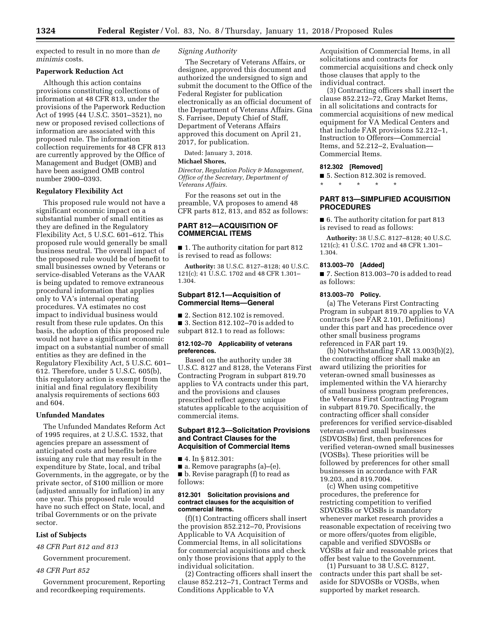expected to result in no more than *de minimis* costs.

## **Paperwork Reduction Act**

Although this action contains provisions constituting collections of information at 48 CFR 813, under the provisions of the Paperwork Reduction Act of 1995 (44 U.S.C. 3501–3521), no new or proposed revised collections of information are associated with this proposed rule. The information collection requirements for 48 CFR 813 are currently approved by the Office of Management and Budget (OMB) and have been assigned OMB control number 2900–0393.

#### **Regulatory Flexibility Act**

This proposed rule would not have a significant economic impact on a substantial number of small entities as they are defined in the Regulatory Flexibility Act, 5 U.S.C. 601–612. This proposed rule would generally be small business neutral. The overall impact of the proposed rule would be of benefit to small businesses owned by Veterans or service-disabled Veterans as the VAAR is being updated to remove extraneous procedural information that applies only to VA's internal operating procedures. VA estimates no cost impact to individual business would result from these rule updates. On this basis, the adoption of this proposed rule would not have a significant economic impact on a substantial number of small entities as they are defined in the Regulatory Flexibility Act, 5 U.S.C. 601– 612. Therefore, under 5 U.S.C. 605(b), this regulatory action is exempt from the initial and final regulatory flexibility analysis requirements of sections 603 and 604.

## **Unfunded Mandates**

The Unfunded Mandates Reform Act of 1995 requires, at 2 U.S.C. 1532, that agencies prepare an assessment of anticipated costs and benefits before issuing any rule that may result in the expenditure by State, local, and tribal Governments, in the aggregate, or by the private sector, of \$100 million or more (adjusted annually for inflation) in any one year. This proposed rule would have no such effect on State, local, and tribal Governments or on the private sector.

## **List of Subjects**

*48 CFR Part 812 and 813* 

Government procurement.

#### *48 CFR Part 852*

Government procurement, Reporting and recordkeeping requirements.

## *Signing Authority*

The Secretary of Veterans Affairs, or designee, approved this document and authorized the undersigned to sign and submit the document to the Office of the Federal Register for publication electronically as an official document of the Department of Veterans Affairs. Gina S. Farrisee, Deputy Chief of Staff, Department of Veterans Affairs approved this document on April 21, 2017, for publication.

Dated: January 3, 2018.

## **Michael Shores,**

*Director, Regulation Policy & Management, Office of the Secretary, Department of Veterans Affairs.* 

For the reasons set out in the preamble, VA proposes to amend 48 CFR parts 812, 813, and 852 as follows:

## **PART 812—ACQUISITION OF COMMERCIAL ITEMS**

■ 1. The authority citation for part 812 is revised to read as follows:

**Authority:** 38 U.S.C. 8127–8128; 40 U.S.C. 121(c); 41 U.S.C. 1702 and 48 CFR 1.301– 1.304.

### **Subpart 812.1—Acquisition of Commercial Items—General**

■ 2. Section 812.102 is removed. ■ 3. Section 812.102–70 is added to

subpart 812.1 to read as follows:

### **812.102–70 Applicability of veterans preferences.**

Based on the authority under 38 U.S.C. 8127 and 8128, the Veterans First Contracting Program in subpart 819.70 applies to VA contracts under this part, and the provisions and clauses prescribed reflect agency unique statutes applicable to the acquisition of commercial items.

## **Subpart 812.3—Solicitation Provisions and Contract Clauses for the Acquisition of Commercial Items**

■ 4. In § 812.301:

■ a. Remove paragraphs (a)–(e).

■ b. Revise paragraph (f) to read as follows:

### **812.301 Solicitation provisions and contract clauses for the acquisition of commercial items.**

(f)(1) Contracting officers shall insert the provision 852.212–70, Provisions Applicable to VA Acquisition of Commercial Items, in all solicitations for commercial acquisitions and check only those provisions that apply to the individual solicitation.

(2) Contracting officers shall insert the clause 852.212–71, Contract Terms and Conditions Applicable to VA

Acquisition of Commercial Items, in all solicitations and contracts for commercial acquisitions and check only those clauses that apply to the individual contract.

(3) Contracting officers shall insert the clause 852.212–72, Gray Market Items, in all solicitations and contracts for commercial acquisitions of new medical equipment for VA Medical Centers and that include FAR provisions 52.212–1, Instruction to Offerors—Commercial Items, and 52.212–2, Evaluation— Commercial Items.

## **812.302 [Removed]**

\* \* \* \* \*

■ 5. Section 812.302 is removed.

## **PART 813—SIMPLIFIED ACQUISITION PROCEDURES**

■ 6. The authority citation for part 813 is revised to read as follows:

**Authority:** 38 U.S.C. 8127–8128; 40 U.S.C. 121(c); 41 U.S.C. 1702 and 48 CFR 1.301– 1.304.

### **813.003–70 [Added]**

■ 7. Section 813.003-70 is added to read as follows:

## **813.003–70 Policy.**

(a) The Veterans First Contracting Program in subpart 819.70 applies to VA contracts (see FAR 2.101, Definitions) under this part and has precedence over other small business programs referenced in FAR part 19.

(b) Notwithstanding FAR 13.003(b)(2), the contracting officer shall make an award utilizing the priorities for veteran-owned small businesses as implemented within the VA hierarchy of small business program preferences, the Veterans First Contracting Program in subpart 819.70. Specifically, the contracting officer shall consider preferences for verified service-disabled veteran-owned small businesses (SDVOSBs) first, then preferences for verified veteran-owned small businesses (VOSBs). These priorities will be followed by preferences for other small businesses in accordance with FAR 19.203, and 819.7004.

(c) When using competitive procedures, the preference for restricting competition to verified SDVOSBs or VOSBs is mandatory whenever market research provides a reasonable expectation of receiving two or more offers/quotes from eligible, capable and verified SDVOSBs or VOSBs at fair and reasonable prices that offer best value to the Government.

(1) Pursuant to 38 U.S.C. 8127, contracts under this part shall be setaside for SDVOSBs or VOSBs, when supported by market research.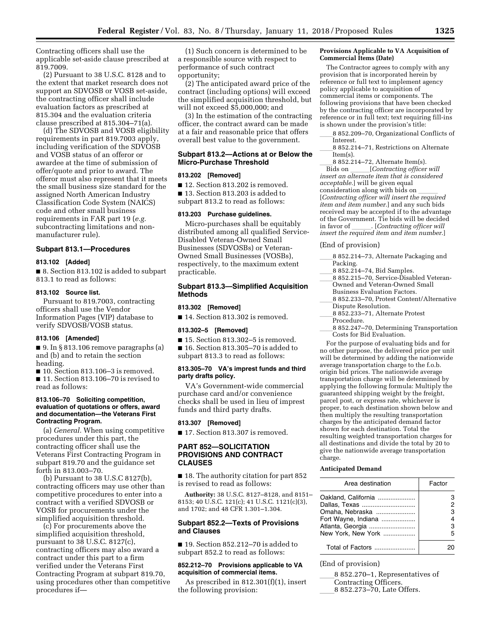Contracting officers shall use the applicable set-aside clause prescribed at 819.7009.

(2) Pursuant to 38 U.S.C. 8128 and to the extent that market research does not support an SDVOSB or VOSB set-aside, the contracting officer shall include evaluation factors as prescribed at 815.304 and the evaluation criteria clause prescribed at 815.304–71(a).

(d) The SDVOSB and VOSB eligibility requirements in part 819.7003 apply, including verification of the SDVOSB and VOSB status of an offeror or awardee at the time of submission of offer/quote and prior to award. The offeror must also represent that it meets the small business size standard for the assigned North American Industry Classification Code System (NAICS) code and other small business requirements in FAR part 19 (*e.g.*  subcontracting limitations and nonmanufacturer rule).

## **Subpart 813.1—Procedures**

#### **813.102 [Added]**

■ 8. Section 813.102 is added to subpart 813.1 to read as follows:

## **813.102 Source list.**

Pursuant to 819.7003, contracting officers shall use the Vendor Information Pages (VIP) database to verify SDVOSB/VOSB status.

## **813.106 [Amended]**

■ 9. In § 813.106 remove paragraphs (a) and (b) and to retain the section heading.

■ 10. Section 813.106-3 is removed.

■ 11. Section 813.106–70 is revised to read as follows:

### **813.106–70 Soliciting competition, evaluation of quotations or offers, award and documentation—the Veterans First Contracting Program.**

(a) *General.* When using competitive procedures under this part, the contracting officer shall use the Veterans First Contracting Program in subpart 819.70 and the guidance set forth in 813.003–70.

(b) Pursuant to 38 U.S.C 8127(b), contracting officers may use other than competitive procedures to enter into a contract with a verified SDVOSB or VOSB for procurements under the simplified acquisition threshold.

(c) For procurements above the simplified acquisition threshold, pursuant to 38 U.S.C. 8127(c), contracting officers may also award a contract under this part to a firm verified under the Veterans First Contracting Program at subpart 819.70, using procedures other than competitive procedures if—

(1) Such concern is determined to be a responsible source with respect to performance of such contract opportunity;

(2) The anticipated award price of the contract (including options) will exceed the simplified acquisition threshold, but will not exceed \$5,000,000; and

(3) In the estimation of the contracting officer, the contract award can be made at a fair and reasonable price that offers overall best value to the government.

## **Subpart 813.2—Actions at or Below the Micro-Purchase Threshold**

## **813.202 [Removed]**

■ 12. Section 813.202 is removed. ■ 13. Section 813.203 is added to

subpart 813.2 to read as follows:

## **813.203 Purchase guidelines.**

Micro-purchases shall be equitably distributed among all qualified Service-Disabled Veteran-Owned Small Businesses (SDVOSBs) or Veteran-Owned Small Businesses (VOSBs), respectively, to the maximum extent practicable.

## **Subpart 813.3—Simplified Acquisition Methods**

### **813.302 [Removed]**

■ 14. Section 813.302 is removed.

### **813.302–5 [Removed]**

■ 15. Section 813.302–5 is removed.

■ 16. Section 813.305–70 is added to subpart 813.3 to read as follows:

### **813.305–70 VA's imprest funds and third party drafts policy.**

VA's Government-wide commercial purchase card and/or convenience checks shall be used in lieu of imprest funds and third party drafts.

#### **813.307 [Removed]**

■ 17. Section 813.307 is removed.

## **PART 852—SOLICITATION PROVISIONS AND CONTRACT CLAUSES**

■ 18. The authority citation for part 852 is revised to read as follows:

**Authority:** 38 U.S.C. 8127–8128, and 8151– 8153; 40 U.S.C. 121(c); 41 U.S.C. 1121(c)(3), and 1702; and 48 CFR 1.301–1.304.

### **Subpart 852.2—Texts of Provisions and Clauses**

■ 19. Section 852.212–70 is added to subpart 852.2 to read as follows:

### **852.212–70 Provisions applicable to VA acquisition of commercial items.**

As prescribed in 812.301(f)(1), insert the following provision:

#### **Provisions Applicable to VA Acquisition of Commercial Items (Date)**

The Contractor agrees to comply with any provision that is incorporated herein by reference or full text to implement agency policy applicable to acquisition of commercial items or components. The following provisions that have been checked by the contracting officer are incorporated by reference or in full text; text requiring fill-ins is shown under the provision's title:

- 8 852.209-70, Organizational Conflicts of Interest.
- 8 852.214–71, Restrictions on Alternate Item(s).

8 852.214–72, Alternate Item(s).<br>Bids on [Contracting officer will] Bids on lll[*Contracting officer will insert an alternate item that is considered acceptable.*] will be given equal consideration along with bids on [*Contracting officer will insert the required item and item number.*] and any such bids received may be accepted if to the advantage of the Government. Tie bids will be decided<br>in favor of [Contracting officer will] in favor of lll. [*Contracting officer will insert the required item and item number*.]

#### (End of provision)

- 8 852.214–73, Alternate Packaging and Packing.<br>8 852.214–74, Bid Samples.
- 8 852.214–74, Bid Samples.<br>8 852 215–70, Service-Disab
- lletta 8 852.215–70, Service-Disabled Veteran-<br>Cowned and Veteran-Owned Small Owned and Veteran-Owned Small
- Business Evaluation Factors. 8 852.233-70, Protest Content/Alternative
- Dispute Resolution.
- 8 852.233-71, Alternate Protest
- Procedure.
- 8 852.247–70, Determining Transportation Costs for Bid Evaluation.

For the purpose of evaluating bids and for no other purpose, the delivered price per unit will be determined by adding the nationwide average transportation charge to the f.o.b. origin bid prices. The nationwide average transportation charge will be determined by applying the following formula: Multiply the guaranteed shipping weight by the freight, parcel post, or express rate, whichever is proper, to each destination shown below and then multiply the resulting transportation charges by the anticipated demand factor shown for each destination. Total the resulting weighted transportation charges for all destinations and divide the total by 20 to give the nationwide average transportation charge.

#### **Anticipated Demand**

| Area destination    | Factor |
|---------------------|--------|
| Oakland, California |        |
| Dallas, Texas       |        |
| Omaha, Nebraska     | з      |
| Fort Wayne, Indiana |        |
| Atlanta, Georgia    | 3      |
| New York, New York  | 5      |
| Total of Factors    |        |

### (End of provision)

8 852.270–1, Representatives of Contracting Officers. 8 852.273–70, Late Offers.